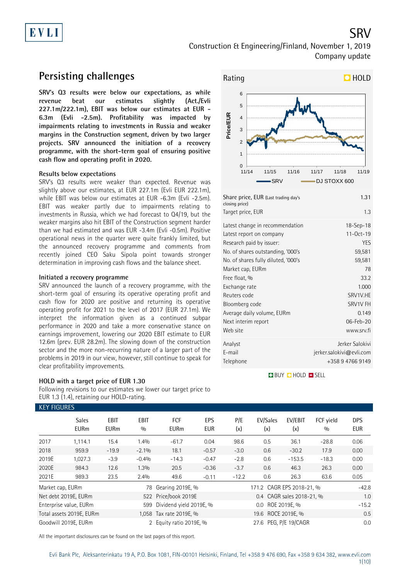

SRV

## **Persisting challenges**

**SRV's Q3 results were below our expectations, as while revenue beat our estimates slightly (Act./Evli 227.1m/222.1m), EBIT was below our estimates at EUR - 6.3m (Evli -2.5m). Profitability was impacted by impairments relating to investments in Russia and weaker margins in the Construction segment, driven by two larger projects. SRV announced the initiation of a recovery programme, with the short-term goal of ensuring positive cash flow and operating profit in 2020.**

### **Results below expectations**

SRV's Q3 results were weaker than expected. Revenue was slightly above our estimates, at EUR 227.1m (Evli EUR 222.1m), while EBIT was below our estimates at EUR -6.3m (Evli -2.5m). EBIT was weaker partly due to impairments relating to investments in Russia, which we had forecast to Q4/19, but the weaker margins also hit EBIT of the Construction segment harder than we had estimated and was EUR -3.4m (Evli -0.5m). Positive operational news in the quarter were quite frankly limited, but the announced recovery programme and comments from recently joined CEO Saku Sipola point towards stronger determination in improving cash flows and the balance sheet.

### **Initiated a recovery programme**

SRV announced the launch of a recovery programme, with the short-term goal of ensuring its operative operating profit and cash flow for 2020 are positive and returning its operative operating profit for 2021 to the level of 2017 (EUR 27.1m). We interpret the information given as a continued subpar performance in 2020 and take a more conservative stance on earnings improvement, lowering our 2020 EBIT estimate to EUR 12.6m (prev. EUR 28.2m). The slowing down of the construction sector and the more non-recurring nature of a larger part of the problems in 2019 in our view, however, still continue to speak for clear profitability improvements.

### **HOLD with a target price of EUR 1.30**

Following revisions to our estimates we lower our target price to EUR 1.3 (1.4), retaining our HOLD-rating.



| Latest change in recommendation     | 18-Sep-18                |
|-------------------------------------|--------------------------|
| Latest report on company            | $11-0ct-19$              |
| Research paid by issuer:            | <b>YES</b>               |
| No. of shares outstanding, '000's   | 59,581                   |
| No. of shares fully diluted, '000's | 59,581                   |
| Market cap, EURm                    | 78                       |
| Free float, %                       | 33.2                     |
| Exchange rate                       | 1.000                    |
| Reuters code                        | SRV1V.HE                 |
| Bloomberg code                      | SRV1V FH                 |
| Average daily volume, EURm          | 0.149                    |
| Next interim report                 | 06-Feb-20                |
| Web site                            | www.srv.fi               |
| Analyst                             | Jerker Salokivi          |
| E-mail                              | jerker.salokivi@evli.com |
| Telephone                           | +358 9 4766 9149         |

**BUY QHOLD SELL** 

|                  | <b>KEY FIGURES</b>          |                            |                    |                           |                   |                  |                           |                           |                  |                          |  |  |  |
|------------------|-----------------------------|----------------------------|--------------------|---------------------------|-------------------|------------------|---------------------------|---------------------------|------------------|--------------------------|--|--|--|
|                  | <b>Sales</b><br><b>EURm</b> | <b>EBIT</b><br><b>EURm</b> | <b>EBIT</b><br>0/0 | <b>FCF</b><br><b>EURm</b> | EPS<br><b>EUR</b> | P/E<br>(x)       | EV/Sales<br>(x)           | EV/EBIT<br>(x)            | FCF vield<br>0/0 | <b>DPS</b><br><b>EUR</b> |  |  |  |
| 2017             | 1,114.1                     | 15.4                       | 1.4%               | $-61.7$                   | 0.04              | 98.6             | 0.5                       | 36.1                      | $-28.8$          | 0.06                     |  |  |  |
| 2018             | 959.9                       | $-19.9$                    | $-2.1%$            | 18.1                      | $-0.57$           | $-3.0$           | 0.6                       | $-30.2$                   | 17.9             | 0.00                     |  |  |  |
| 2019E            | 1,027.3                     | $-3.9$                     | $-0.4%$            | $-14.3$                   | $-0.47$           | $-2.8$           | 0.6                       | $-153.5$                  | $-18.3$          | 0.00                     |  |  |  |
| 2020E            | 984.3                       | 12.6                       | 1.3%               | 20.5                      | $-0.36$           | $-3.7$           | 0.6                       | 46.3                      | 26.3             | 0.00                     |  |  |  |
| 2021E            | 989.3                       | 23.5                       | 2.4%               | 49.6                      | $-0.11$           | $-12.2$          | 0.6                       | 26.3                      | 63.6             | 0.05                     |  |  |  |
| Market cap, EURm |                             |                            | 78                 | Gearing 2019E, %          |                   |                  | 171.2 CAGR EPS 2018-21, % |                           |                  | $-42.8$                  |  |  |  |
|                  | Net debt 2019E, EURm        |                            |                    | 522 Price/book 2019E      |                   |                  |                           | 0.4 CAGR sales 2018-21, % |                  | 1.0                      |  |  |  |
|                  | Enterprise value, EURm      |                            | 599                | Dividend yield 2019E, %   |                   | 0.0 ROE 2019E, % |                           |                           |                  | $-15.2$                  |  |  |  |
|                  | Total assets 2019E, EURm    |                            |                    | 1,058 Tax rate 2019E, %   |                   |                  | 19.6 ROCE 2019E, %        |                           |                  | 0.5                      |  |  |  |
|                  | Goodwill 2019E. EURm        |                            |                    | 2 Equity ratio 2019E, %   |                   |                  | 27.6 PEG. P/E 19/CAGR     |                           |                  | 0.0                      |  |  |  |

All the important disclosures can be found on the last pages of this report.

Evli Bank Plc, Aleksanterinkatu 19 A, P.O. Box 1081, FIN-00101 Helsinki, Finland, Tel +358 9 476 690, Fax +358 9 634 382, [www.evli.com](http://www.evli.com/) 1(10)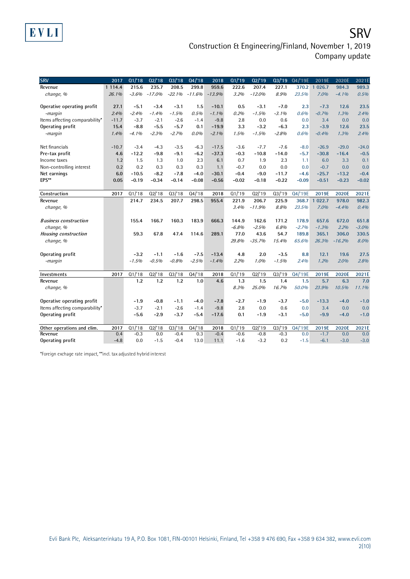## **SRV** Construction & Engineering/Finland, November 1, 2019 Company update

| <b>SRV</b>                     | 2017       | Q1/18   | Q2/18    | Q3/18    | Q4/18    | 2018     | Q1/19   | Q2/19    | $Q_3/19$ | Q4/'19E | 2019E    | 2020E    | 2021E   |
|--------------------------------|------------|---------|----------|----------|----------|----------|---------|----------|----------|---------|----------|----------|---------|
| Revenue                        | 1 1 1 4 .4 | 215.6   | 235.7    | 208.5    | 299.8    | 959.6    | 222.6   | 207.4    | 227.1    | 370.2   | 1 0 26.7 | 984.3    | 989.3   |
| change, %                      | 26.1%      | $-3.6%$ | $-17.0%$ | $-22.1%$ | $-11.6%$ | $-13.9%$ | 3.2%    | $-12.0%$ | 8.9%     | 23.5%   | 7.0%     | $-4.1%$  | 0.5%    |
|                                |            |         |          |          |          |          |         |          |          |         |          |          |         |
| Operative operating profit     | 27.1       | $-5.1$  | $-3.4$   | $-3.1$   | 1.5      | $-10.1$  | 0.5     | $-3.1$   | $-7.0$   | 2.3     | $-7.3$   | 12.6     | 23.5    |
| -margin                        | 2.4%       | $-2.4%$ | $-1.4%$  | $-1.5%$  | 0.5%     | $-1.1%$  | 0.2%    | $-1.5%$  | $-3.1%$  | 0.6%    | $-0.7%$  | 1.3%     | 2.4%    |
| Items affecting comparability* | $-11.7$    | $-3.7$  | $-2.1$   | $-2.6$   | $-1.4$   | $-9.8$   | 2.8     | 0.0      | 0.6      | 0.0     | 3.4      | 0.0      | 0.0     |
| Operating profit               | 15.4       | $-8.8$  | $-5.5$   | $-5.7$   | 0.1      | $-19.9$  | 3.3     | $-3.2$   | $-6.3$   | 2.3     | $-3.9$   | 12.6     | 23.5    |
| -margin                        | 1.4%       | $-4.1%$ | $-2.3%$  | $-2.7%$  | 0.0%     | $-2.1%$  | 1.5%    | $-1.5%$  | $-2.8%$  | 0.6%    | $-0.4%$  | 1.3%     | 2.4%    |
|                                |            |         |          |          |          |          |         |          |          |         |          |          |         |
| Net financials                 | $-10.7$    | $-3.4$  | $-4.3$   | $-3.5$   | $-6.3$   | $-17.5$  | $-3.6$  | $-7.7$   | $-7.6$   | $-8.0$  | $-26.9$  | $-29.0$  | $-24.0$ |
| Pre-tax profit                 | 4.6        | $-12.2$ | $-9.8$   | $-9.1$   | $-6.2$   | $-37.3$  | $-0.3$  | $-10.8$  | $-14.0$  | $-5.7$  | $-30.8$  | $-16.4$  | $-0.5$  |
| Income taxes                   | 1.2        | 1.5     | 1.3      | 1.0      | 2.3      | 6.1      | 0.7     | 1.9      | 2.3      | 1.1     | 6.0      | 3.3      | 0.1     |
| Non-controlling interest       | 0.2        | 0.2     | 0.3      | 0.3      | 0.3      | 1.1      | $-0.7$  | 0.0      | 0.0      | 0.0     | $-0.7$   | 0.0      | 0.0     |
| Net earnings                   | 6.0        | $-10.5$ | $-8.2$   | $-7.8$   | $-4.0$   | $-30.1$  | $-0.4$  | $-9.0$   | $-11.7$  | $-4.6$  | $-25.7$  | $-13.2$  | $-0.4$  |
| EPS**                          | 0.05       | $-0.19$ | $-0.34$  | $-0.14$  | $-0.08$  | $-0.56$  | $-0.02$ | $-0.18$  | $-0.22$  | $-0.09$ | $-0.51$  | $-0.23$  | $-0.02$ |
|                                |            |         |          |          |          |          |         |          |          |         |          |          |         |
| Construction                   | 2017       | Q1/18   | Q2/18    | Q3/18    | Q4/18    | 2018     | Q1/19   | Q2/19    | Q3/19    | Q4/'19E | 2019E    | 2020E    | 2021E   |
| Revenue                        |            | 214.7   | 234.5    | 207.7    | 298.5    | 955.4    | 221.9   | 206.7    | 225.9    | 368.7   | 1 022.7  | 978.0    | 982.3   |
| change, %                      |            |         |          |          |          |          | 3.4%    | $-11.9%$ | 8.8%     | 23.5%   | 7.0%     | $-4.4%$  | 0.4%    |
|                                |            |         |          |          |          |          |         |          |          |         |          |          |         |
| <b>Business construction</b>   |            | 155.4   | 166.7    | 160.3    | 183.9    | 666.3    | 144.9   | 162.6    | 171.2    | 178.9   | 657.6    | 672.0    | 651.8   |
| change, %                      |            |         |          |          |          |          | $-6.8%$ | $-2.5%$  | 6.8%     | $-2.7%$ | $-1.3%$  | 2.2%     | $-3.0%$ |
| Housing construction           |            | 59.3    | 67.8     | 47.4     | 114.6    | 289.1    | 77.0    | 43.6     | 54.7     | 189.8   | 365.1    | 306.0    | 330.5   |
| change, %                      |            |         |          |          |          |          | 29.8%   | $-35.7%$ | 15.4%    | 65.6%   | 26.3%    | $-16.2%$ | 8.0%    |
|                                |            |         |          |          |          |          |         |          |          |         |          |          |         |
| Operating profit               |            | $-3.2$  | $-1.1$   | $-1.6$   | $-7.5$   | $-13.4$  | 4.8     | 2.0      | $-3.5$   | 8.8     | 12.1     | 19.6     | 27.5    |
| -margin                        |            | $-1.5%$ | $-0.5%$  | $-0.8%$  | $-2.5%$  | $-1.4%$  | 2.2%    | 1.0%     | $-1.5%$  | 2.4%    | 1.2%     | 2.0%     | 2.8%    |
| Investments                    | 2017       | Q1/18   | Q2/18    | Q3/18    | Q4/18    | 2018     | Q1/19   | Q2/19    | Q3/19    | Q4/'19E | 2019E    | 2020E    | 2021E   |
| Revenue                        |            | 1.2     | 1.2      | 1.2      | 1.0      | 4.6      | 1.3     | 1.5      | 1.4      | 1.5     | 5.7      | 6.3      | 7.0     |
| change, %                      |            |         |          |          |          |          | 8.3%    | 25.0%    | 16.7%    | 50.0%   | 23.9%    | 10.5%    | 11.1%   |
|                                |            |         |          |          |          |          |         |          |          |         |          |          |         |
| Operative operating profit     |            | $-1.9$  | $-0.8$   | $-1.1$   | $-4.0$   | $-7.8$   | $-2.7$  | $-1.9$   | $-3.7$   | $-5.0$  | $-13.3$  | $-4.0$   | $-1.0$  |
| Items affecting comparability* |            | $-3.7$  | $-2.1$   | $-2.6$   | $-1.4$   | $-9.8$   | 2.8     | 0.0      | 0.6      | 0.0     | 3.4      | 0.0      | 0.0     |
| Operating profit               |            | $-5.6$  | $-2.9$   | $-3.7$   | $-5.4$   | $-17.6$  | 0.1     | $-1.9$   | $-3.1$   | $-5.0$  | $-9.9$   | $-4.0$   | $-1.0$  |
|                                |            |         |          |          |          |          |         |          |          |         |          |          |         |
| Other operations and elim.     | 2017       | Q1/18   | Q2'18    | Q3/18    | Q4/18    | 2018     | Q1/19   | Q2/19    | Q3/19    | Q4/'19E | 2019E    | 2020E    | 2021E   |
| Revenue                        | 0.4        | $-0.3$  | 0.0      | $-0.4$   | 0.3      | $-0.4$   | $-0.6$  | $-0.8$   | $-0.3$   | 0.0     | $-1.7$   | 0.0      | 0.0     |
| Operating profit               | $-4.8$     | 0.0     | $-1.5$   | $-0.4$   | 13.0     | 11.1     | $-1.6$  | $-3.2$   | 0.2      | $-1.5$  | $-6.1$   | $-3.0$   | $-3.0$  |

\*Foreign exchage rate impact, \*\*incl. tax adjusted hybrid interest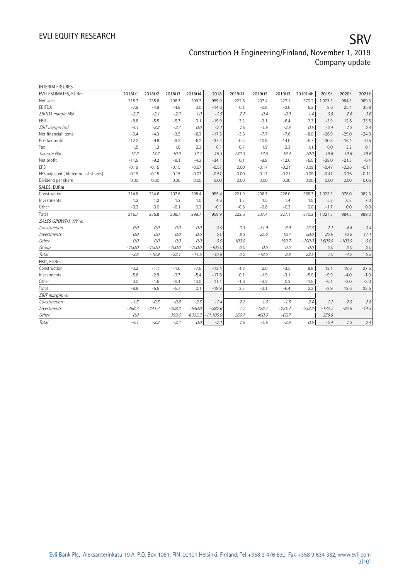| <b>INTERIM FIGURES</b>               |          |          |          |          |             |        |          |          |          |          |          |         |
|--------------------------------------|----------|----------|----------|----------|-------------|--------|----------|----------|----------|----------|----------|---------|
| EVLI ESTIMATES, EURm                 | 201801   | 201802   | 201803   | 201804   | 2018        | 201901 | 201902   | 201903   | 2019Q4E  | 2019E    | 2020E    | 2021E   |
| Net sales                            | 215.7    | 235.8    | 208.7    | 299.7    | 959.9       | 222.6  | 207.4    | 227.1    | 370.2    | 1,027.3  | 984.3    | 989.3   |
| EBITDA                               | $-7.9$   | $-4.9$   | $-4.8$   | 3.0      | $-14.6$     | 6.1    | $-0.8$   | $-2.0$   | 5.3      | 8.6      | 25.4     | 35.8    |
| EBITDA margin (%)                    | $-3.7$   | $-2.1$   | $-2.3$   | 1.0      | $-1.5$      | 2.7    | $-0.4$   | $-0.9$   | 7.4      | 0.8      | 2.6      | 3.6     |
| <b>FBIT</b>                          | $-8.8$   | $-5.5$   | $-5.7$   | 0.1      | $-19.9$     | 3.3    | $-3.1$   | $-6.4$   | 2.3      | $-3.9$   | 12.6     | 23.5    |
| EBIT margin (%)                      | $-4.1$   | $-2.3$   | $-2.7$   | 0.0      | $-2.1$      | 1.5    | $-1.5$   | $-2.8$   | 0.6      | $-0.4$   | 1.3      | 2.4     |
| Net financial items                  | $-3.4$   | $-4.3$   | $-3.5$   | $-6.3$   | $-17.5$     | $-3.6$ | $-7.7$   | $-7.6$   | $-8.0$   | $-26.9$  | $-29.0$  | $-24.0$ |
| Pre-tax profit                       | $-12.2$  | $-9.8$   | $-9.2$   | $-6.2$   | $-37.4$     | $-0.3$ | $-10.8$  | $-14.0$  | $-5.7$   | $-30.8$  | $-16.4$  | $-0.5$  |
| Tax                                  | 1.5      | 1.3      | 1.0      | 2.3      | 6.1         | 0.7    | 1.9      | 2.3      | 1.1      | 6.0      | 3.2      | 0.1     |
| Tax rate (%)                         | 12.3     | 13.3     | 10.9     | 37.1     | 16.3        | 233.3  | 17.6     | 16.4     | 20.0     | 19.6     | 19.6     | 19.6    |
| Net profit                           | $-11.5$  | $-9.2$   | $-9.1$   | $-4.3$   | $-34.1$     | 0.1    | $-9.8$   | $-12.6$  | $-5.5$   | $-28.0$  | $-21.3$  | $-6.4$  |
| EPS                                  | $-0.19$  | $-0.15$  | $-0.15$  | $-0.07$  | $-0.57$     | 0.00   | $-0.17$  | $-0.21$  | $-0.09$  | $-0.47$  | $-0.36$  | $-0.11$ |
| EPS adjusted (diluted no. of shares) | $-0.19$  | $-0.15$  | $-0.15$  | $-0.07$  | $-0.57$     | 0.00   | $-0.17$  | $-0.21$  | $-0.09$  | $-0.47$  | $-0.36$  | $-0.11$ |
| Dividend per share                   | 0.00     | 0.00     | 0.00     | 0.00     | 0.00        | 0.00   | 0.00     | 0.00     | 0.00     | 0.00     | 0.00     | 0.05    |
| SALES, EURm                          |          |          |          |          |             |        |          |          |          |          |          |         |
| Construction                         | 214.8    | 234.6    | 207.6    | 298.4    | 955.4       | 221.9  | 206.7    | 226.0    | 368.7    | 1,023.3  | 978.0    | 982.3   |
| Investments                          | 1.2      | 1.2      | 1.2      | 1.0      | 4.6         | 1.3    | 1.5      | 1.4      | 1.5      | 5.7      | 6.3      | 7.0     |
| Other                                | $-0.3$   | 0.0      | $-0.1$   | 0.3      | $-0.1$      | $-0.6$ | $-0.8$   | $-0.3$   | 0.0      | $-1.7$   | 0.0      | 0.0     |
| Total                                | 215.7    | 235.8    | 208.7    | 299.7    | 959.9       | 222.6  | 207.4    | 227.1    | 370.2    | 1,027.3  | 984.3    | 989.3   |
| SALES GROWTH, Y/Y %                  |          |          |          |          |             |        |          |          |          |          |          |         |
| Construction                         | 0.0      | 0.0      | 0.0      | 0.0      | 0.0         | 3.3    | $-11.9$  | 8.9      | 23.6     | 7.1      | $-4.4$   | 0.4     |
| Investments                          | 0.0      | 0.0      | 0.0      | 0.0      | 0.0         | 8.3    | 25.0     | 16.7     | 50.0     | 23.9     | 10.5     | 11.1    |
| Other                                | 0.0      | 0.0      | 0.0      | 0.0      | 0.0         | 100.0  |          | 199.7    | $-100.0$ | 1,600.0  | $-100.0$ | 0.0     |
| Group                                | $-100.0$ | $-100.0$ | $-100.0$ | $-100.0$ | $-100.0$    | 0.0    | 0.0      | 0.0      | 0.0      | 0.0      | 0.0      | 0.0     |
| Total                                | $-3.6$   | $-16.9$  | $-22.1$  | $-11.5$  | $-13.8$     | 3.2    | $-12.0$  | 8.8      | 23.5     | 7.0      | $-4.2$   | 0.5     |
| EBIT, EURm                           |          |          |          |          |             |        |          |          |          |          |          |         |
| Construction                         | $-3.2$   | $-1.1$   | $-1.6$   | $-7.5$   | $-13.4$     | 4.8    | 2.0      | $-3.5$   | 8.8      | 12.1     | 19.6     | 27.5    |
| Investments                          | $-5.6$   | $-2.9$   | $-3.7$   | $-5.4$   | $-17.6$     | 0.1    | $-1.9$   | $-3.1$   | $-5.0$   | $-9.9$   | $-4.0$   | $-1.0$  |
| Other                                | 0.0      | $-1.5$   | $-0.4$   | 13.0     | 11.1        | $-1.6$ | $-3.2$   | 0.2      | $-1.5$   | $-6.1$   | $-3.0$   | $-3.0$  |
| Total                                | $-8.8$   | $-5.5$   | $-5.7$   | 0.1      | $-19.9$     | 3.3    | $-3.1$   | $-6.4$   | 2.3      | $-3.9$   | 12.6     | 23.5    |
| EBIT margin, %                       |          |          |          |          |             |        |          |          |          |          |          |         |
| Construction                         | $-1.5$   | $-0.5$   | $-0.8$   | $-2.5$   | $-1.4$      | 2.2    | 1.0      | $-1.5$   | 2.4      | 1.2      | 2.0      | 2.8     |
| Investments                          | $-466.7$ | $-241.7$ | $-308.3$ | $-540.0$ | $-382.6$    | 7.7    | $-126.7$ | $-221.4$ | $-333.3$ | $-173.7$ | $-63.5$  | $-14.3$ |
| Other                                | 0.0      |          | 399.6    | 4,333.3  | $-11,100.0$ | 266.7  | 400.0    | $-66.7$  |          | 358.8    |          |         |
| Total                                | $-4.1$   | $-2.3$   | $-2.7$   | 0.0      | $-2.1$      | 1.5    | $-1.5$   | $-2.8$   | 0.6      | $-0.4$   | 1.3      | 2.4     |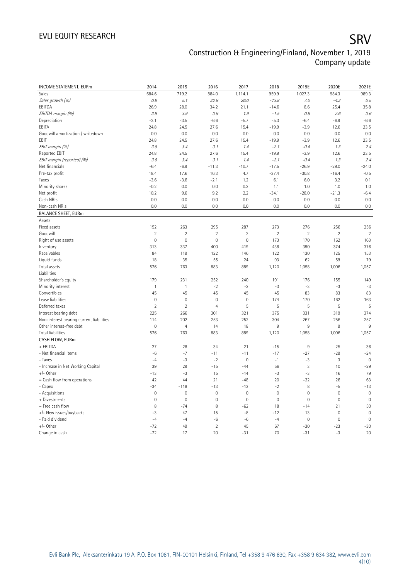| <b>INCOME STATEMENT, EURm</b>            | 2014           | 2015                    | 2016                | 2017           | 2018        | 2019E                   | 2020E       | 2021E       |
|------------------------------------------|----------------|-------------------------|---------------------|----------------|-------------|-------------------------|-------------|-------------|
| Sales                                    | 684.6          | 719.2                   | 884.0               | 1,114.1        | 959.9       | 1,027.3                 | 984.3       | 989.3       |
| Sales growth (%)                         | $0.8\,$        | 5.1                     | 22.9                | 26.0           | $-13.8$     | 7.0                     | $-4.2$      | 0.5         |
| EBITDA                                   | 26.9           | 28.0                    | 34.2                | 21.1           | $-14.6$     | 8.6                     | 25.4        | 35.8        |
| EBITDA margin (%)                        | 3.9            | 3.9                     | 3.9                 | 1.9            | $-1.5$      | $0.8\,$                 | 2.6         | 3.6         |
| Depreciation                             | $-2.1$         | $-3.5$                  | $-6.6$              | $-5.7$         | $-5.3$      | $-6.4$                  | $-6.9$      | $-6.6$      |
| EBITA                                    | 24.8           | 24.5                    | 27.6                | 15.4           | $-19.9$     | $-3.9$                  | 12.6        | 23.5        |
| Goodwill amortization / writedown        | 0.0            | 0.0                     | 0.0                 | 0.0            | 0.0         | 0.0                     | 0.0         | 0.0         |
| EBIT                                     | 24.8           | 24.5                    | 27.6                | 15.4           | $-19.9$     | $-3.9$                  | 12.6        | 23.5        |
| EBIT margin (%)                          | 3.6            | 3.4                     | 3.1                 | 1.4            | $-2.1$      | $-0.4$                  | 1.3         | 2.4         |
| Reported EBIT                            | 24.8           | 24.5                    | 27.6                | 15.4           | $-19.9$     | $-3.9$                  | 12.6        | 23.5        |
| EBIT margin (reported) (%)               | 3.6            | 3.4                     | 3.1                 | 1.4            | $-2.1$      | $-0.4$                  | 1.3         | 2.4         |
| Net financials                           | $-6.4$         | $-6.9$                  | $-11.3$             | $-10.7$        | $-17.5$     | $-26.9$                 | $-29.0$     | $-24.0$     |
| Pre-tax profit                           | 18.4           | 17.6                    | 16.3                | 4.7            | $-37.4$     | $-30.8$                 | $-16.4$     | $-0.5$      |
| Taxes                                    | $-3.6$         | $-3.6$                  | $-2.1$              | 1.2            | 6.1         | 6.0                     | 3.2         | 0.1         |
| Minority shares                          | $-0.2$         | 0.0                     | 0.0                 | 0.2            | 1.1         | 1.0                     | 1.0         | 1.0         |
| Net profit                               | 10.2           | 9.6                     | 9.2                 | 2.2            | $-34.1$     | $-28.0$                 | $-21.3$     | $-6.4$      |
| Cash NRIs                                | 0.0            | 0.0                     | 0.0                 | 0.0            | 0.0         | 0.0                     | 0.0         | 0.0         |
| Non-cash NRIs                            | 0.0            | 0.0                     | 0.0                 | 0.0            | 0.0         | 0.0                     | 0.0         | 0.0         |
| <b>BALANCE SHEET, EURm</b>               |                |                         |                     |                |             |                         |             |             |
| Assets                                   |                |                         |                     |                |             |                         |             |             |
| Fixed assets                             | 152            | 263                     | 295                 | 287            | 273         | 276                     | 256         | 256         |
| Goodwill                                 | $\overline{2}$ | $\overline{\mathbf{c}}$ | $\overline{2}$      | $\overline{2}$ | $\sqrt{2}$  | $\overline{\mathbf{c}}$ | $\sqrt{2}$  | $\sqrt{2}$  |
| Right of use assets                      | $\mathbf 0$    | $\mathbf 0$             | $\mathbb O$         | $\mathbf 0$    | 173         | 170                     | 162         | 163         |
| Inventory                                | 313            | 337                     | 400                 | 419            | 438         | 390                     | 374         | 376         |
| Receivables                              | 84             | 119                     | 122                 | 146            | 122         | 130                     | 125         | 153         |
| Liquid funds                             | 18             | 35                      | 55                  | 24             | 93          | 62                      | 59          | 79          |
| Total assets                             | 576            | 763                     | 883                 | 889            | 1,120       | 1,058                   | 1,006       | 1,057       |
| Liabilities                              |                |                         |                     |                |             |                         |             |             |
| Shareholder's equity                     | 179            | 231                     | 252                 | 240            | 191         | 176                     | 155         | 149         |
| Minority interest                        | 1              | 1                       | $-2$                | $-2$           | $-3$        | $-3$                    | $-3$        | $-3$        |
| Convertibles                             | 45             | 45                      | 45                  | 45             | 45          | 83                      | 83          | 83          |
| Lease liabilities                        | $\mathbf 0$    | $\mathbf 0$             | $\mathbf 0$         | $\mathbf{0}$   | 174         | 170                     | 162         | 163         |
| Deferred taxes                           | $\overline{2}$ | $\overline{2}$          | $\overline{4}$      | 5              | 5           | 5                       | 5           | 5           |
| Interest bearing debt                    | 225            | 266                     | 301                 | 321            | 375         | 331                     | 319         | 374         |
| Non-interest bearing current liabilities | 114            | 202                     | 253                 | 252            | 304         | 267                     | 256         | 257         |
| Other interest-free debt                 | $\mathbf 0$    | $\overline{4}$          | 14                  | 18             | 9           | 9                       | $9\,$       | $9\,$       |
| <b>Total liabilities</b>                 | 576            | 763                     | 883                 | 889            | 1,120       | 1,058                   | 1,006       | 1,057       |
| CASH FLOW, EURm                          |                |                         |                     |                |             |                         |             |             |
| + EBITDA                                 | 27             | 28                      | 34                  | 21             | $-15$       | $9\,$                   | 25          | 36          |
| - Net financial items                    | $-6$           | $-7$                    | $-11$               | $-11$          | $-17$       | $-27$                   | $-29$       | $-24$       |
| - Taxes                                  | $-4$           | $-3$                    | $-2$                | $\mathbf{0}$   | $-1$        | $-3$                    | 3           | $\mathbf 0$ |
| - Increase in Net Working Capital        | 39             | 29                      | $-15$               | $-44$          | 56          | 3                       | 10          | $-29$       |
| $+/-$ Other                              | $-13$          | $-3$                    | 15                  | $-14$          | $-3$        | $-3$                    | 16          | 79          |
| = Cash flow from operations              | 42             | 44                      | 21                  | $-48$          | 20          | $-22$                   | 26          | 63          |
| - Capex                                  | $-34$          | $-118$                  | $-13$               | $-13$          | $-2$        | 8                       | $-5$        | $-13$       |
| - Acquisitions                           | $\mathbf 0$    | $\mathbf 0$             | $\mathsf{O}\xspace$ | $\mathbf 0$    | $\mathbf 0$ | $\mathsf{O}\xspace$     | $\mathbf 0$ | $\mathbf 0$ |
| + Divestments                            | $\mathbf 0$    | $\mathbf 0$             | 0                   | $\mathbf 0$    | $\mathbf 0$ | $\mathbf 0$             | $\mathbf 0$ | $\mathbf 0$ |
| = Free cash flow                         | 8              | $-74$                   | 8                   | $-62$          | 18          | $-14$                   | 21          | 50          |
| +/- New issues/buybacks                  | $-3$           | 47                      | 15                  | $-8$           | $-12$       | 13                      | $\mathbf 0$ | $\mathbf 0$ |
| - Paid dividend                          | $-4$           | $-4$                    | $-6$                | $-6$           | $-4$        | $\mathbf 0$             | $\mathbf 0$ | $\mathbf 0$ |
| $+/-$ Other                              | $-72$          | 49                      | $\overline{2}$      | 45             | 67          | $-30$                   | $-23$       | $-30$       |
| Change in cash                           | $-72$          | 17                      | 20                  | $-31$          | 70          | $-31$                   | $-3$        | 20          |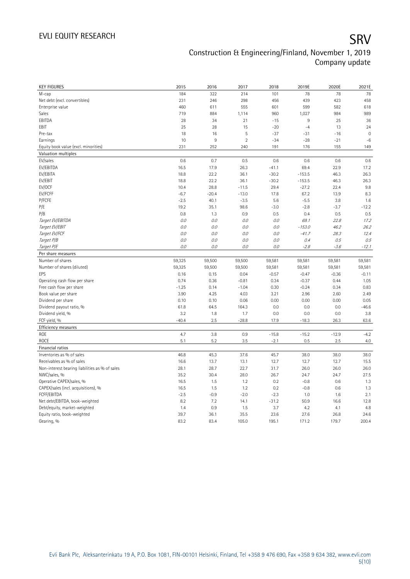| <b>KEY FIGURES</b>                             | 2015             | 2016         | 2017           | 2018          | 2019E         | 2020E         | 2021E         |
|------------------------------------------------|------------------|--------------|----------------|---------------|---------------|---------------|---------------|
| M-cap                                          | 184              | 322          | 214            | 101           | 78            | 78            | 78            |
| Net debt (excl. convertibles)                  | 231              | 246          | 298            | 456           | 439           | 423           | 458           |
| Enterprise value                               | 460              | 611          | 555            | 601           | 599           | 582           | 618           |
| Sales                                          | 719              | 884          | 1,114          | 960           | 1,027         | 984           | 989           |
| EBITDA                                         | 28               | 34           | 21             | $-15$         | 9             | 25            | 36            |
| EBIT                                           | 25               | 28           | 15             | $-20$         | $-4$          | 13            | 24            |
| Pre-tax                                        | 18               | 16           | 5              | $-37$         | $-31$         | $-16$         | $\mathbf{0}$  |
| Earnings                                       | 10               | $9\,$        | $\overline{2}$ | $-34$         | $-28$         | $-21$         | $-6$          |
| Equity book value (excl. minorities)           | 231              | 252          | 240            | 191           | 176           | 155           | 149           |
| Valuation multiples                            |                  |              |                |               |               |               |               |
| EV/sales                                       | 0.6              | 0.7          | 0.5            | 0.6           | 0.6           | 0.6           | 0.6           |
| EV/EBITDA                                      | 16.5             | 17.9         | 26.3           | $-41.1$       | 69.4          | 22.9          | 17.2          |
| EV/EBITA                                       | 18.8             | 22.2         | 36.1           | $-30.2$       | $-153.5$      | 46.3          | 26.3          |
| EV/EBIT                                        | 18.8             | 22.2         | 36.1           | $-30.2$       | $-153.5$      | 46.3          | 26.3          |
| EV/OCF                                         | 10.4             | 28.8         | $-11.5$        | 29.4          | $-27.2$       | 22.4          | 9.8           |
| EV/FCFF                                        | $-6.7$           | $-20.4$      | $-13.0$        | 17.8          | 67.2          | 13.9          | 8.3           |
| P/FCFE                                         | $-2.5$           | 40.1         | $-3.5$         | 5.6           | $-5.5$        | 3.8           | 1.6           |
| P/E                                            | 19.2             | 35.1         | 98.6           | $-3.0$        | $-2.8$        | $-3.7$        | $-12.2$       |
| P/B                                            | 0.8              | 1.3          | 0.9            | 0.5           | 0.4           | 0.5           | 0.5           |
| Target EV/EBITDA                               | 0.0              | 0.0          | $0.0\,$        | 0.0           | 69.1          | 22.8          | 17.2          |
| Target EV/EBIT                                 | 0.0              | 0.0          | $0.0$          | 0.0           | $-153.0$      | 46.2          | 26.2          |
| Target EV/FCF                                  | 0.0              | 0.0          | $0.0$          | 0.0           | $-41.7$       | 28.3          | 12.4          |
| Target P/B                                     | 0.0              | 0.0          | 0.0            | 0.0           | 0.4           | 0.5           | 0.5           |
| Target P/E                                     | 0.0              | 0.0          | 0.0            | 0.0           | $-2.8$        | $-3.6$        | $-12.1$       |
|                                                |                  |              |                |               |               |               |               |
| Per share measures<br>Number of shares         |                  |              |                |               |               |               |               |
|                                                | 59,325<br>59,325 | 59,500       | 59,500         | 59,581        | 59,581        | 59,581        | 59,581        |
| Number of shares (diluted)                     |                  | 59,500       | 59,500         | 59,581        | 59,581        | 59,581        | 59,581        |
|                                                |                  |              |                |               |               |               |               |
| EPS                                            | 0.16             | 0.15         | 0.04           | $-0.57$       | $-0.47$       | $-0.36$       | $-0.11$       |
| Operating cash flow per share                  | 0.74             | 0.36         | $-0.81$        | 0.34          | $-0.37$       | 0.44          | 1.05          |
| Free cash flow per share                       | $-1.25$          | 0.14         | $-1.04$        | 0.30          | $-0.24$       | 0.34          | 0.83          |
| Book value per share                           | 3.90             | 4.25         | 4.03           | 3.21          | 2.96          | 2.60          | 2.49          |
| Dividend per share                             | 0.10             | 0.10         | 0.06           | 0.00          | 0.00          | 0.00          | 0.05          |
| Dividend payout ratio, %                       | 61.8             | 64.5         | 164.3          | 0.0           | 0.0           | 0.0           | $-46.6$       |
| Dividend yield, %                              | 3.2              | 1.8          | 1.7            | 0.0           | 0.0           | 0.0           | 3.8           |
| FCF yield, %                                   | $-40.4$          | 2.5          | $-28.8$        | 17.9          | $-18.3$       | 26.3          | 63.6          |
| Efficiency measures                            |                  |              |                |               |               |               |               |
| <b>ROE</b>                                     | 4.7              | 3.8          | 0.9            | $-15.8$       | $-15.2$       | $-12.9$       | $-4.2$        |
| <b>ROCE</b>                                    | 5.1              | 5.2          | 3.5            | $-2.1$        | 0.5           | 2.5           | 4.0           |
| Financial ratios                               |                  |              |                |               |               |               |               |
| Inventories as % of sales                      | 46.8             | 45.3         | 37.6           | 45.7          | 38.0          | 38.0          | 38.0          |
| Receivables as % of sales                      | 16.6             | 13.7         | 13.1           | 12.7          | 12.7          | 12.7          | 15.5          |
| Non-interest bearing liabilities as % of sales | 28.1             | 28.7         | 22.7           | 31.7          | 26.0          | 26.0          | 26.0          |
| NWC/sales, %                                   | 35.2             | 30.4         | 28.0           | 26.7          | 24.7          | 24.7          | 27.5          |
| Operative CAPEX/sales, %                       | 16.5             | 1.5          | 1.2            | 0.2           | $-0.8$        | 0.6           | 1.3           |
| CAPEX/sales (incl. acquisitions), %            | 16.5             | 1.5          | 1.2            | 0.2           | $-0.8$        | 0.6           | 1.3           |
| FCFF/EBITDA                                    | $-2.5$           | $-0.9$       | $-2.0$         | $-2.3$        | 1.0           | 1.6           | 2.1           |
| Net debt/EBITDA, book-weighted                 | 8.2              | 7.2          | 14.1           | $-31.2$       | 50.9          | 16.6          | 12.8          |
| Debt/equity, market-weighted                   | 1.4              | 0.9          | 1.5            | 3.7           | 4.2           | 4.1           | 4.8           |
| Equity ratio, book-weighted<br>Gearing, %      | 39.7<br>83.2     | 36.1<br>83.4 | 35.5<br>105.0  | 23.6<br>195.1 | 27.6<br>171.2 | 26.8<br>179.7 | 24.6<br>200.4 |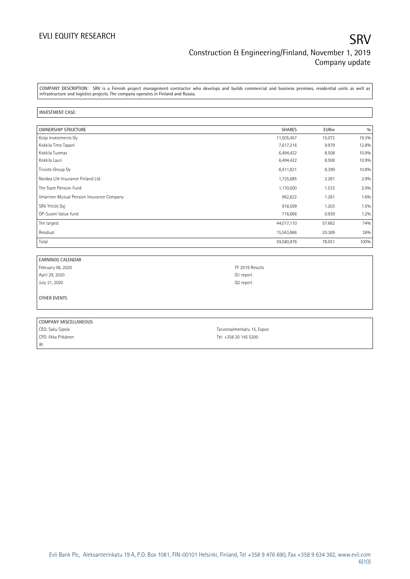COMPANY DESCRIPTION: SRV is a Finnish project management contractor who develops and builds commercial and business premises, residential units as well as infrastructure and logistics projects. The company operates in Finland and Russia.

### INVESTMENT CASE:

| <b>OWNERSHIP STRUCTURE</b>                 | <b>SHARES</b> | <b>EURm</b> | 0/0   |
|--------------------------------------------|---------------|-------------|-------|
| Kolpi Investments Oy                       | 11,505,457    | 15.072      | 19.3% |
| Kokkila Timo Tapani                        | 7,617,216     | 9.979       | 12.8% |
| Kokkila Tuomas                             | 6,494,422     | 8.508       | 10.9% |
| Kokkila Lauri                              | 6,494,422     | 8.508       | 10.9% |
| Tiiviste-Group Oy                          | 6,411,821     | 8.399       | 10.8% |
| Nordea Life Insurance Finland Ltd.         | 1,725,685     | 2.261       | 2.9%  |
| The State Pension Fund                     | 1,170,000     | 1.533       | 2.0%  |
| Ilmarinen Mutual Pension Insurance Company | 962,822       | 1.261       | 1.6%  |
| SRV Yhtiöt Oyj                             | 918,599       | 1.203       | 1.5%  |
| OP-Suomi Value fund                        | 716,666       | 0.939       | 1.2%  |
| Ten largest                                | 44,017,110    | 57.662      | 74%   |
| Residual                                   | 15,563,866    | 20.389      | 26%   |
| Total                                      | 59,580,976    | 78.051      | 100%  |

| I EARNINGS CALENDAR |                       |
|---------------------|-----------------------|
| February 06, 2020   | FY 2019 Results       |
| April 29, 2020      | Q1 report             |
| July 21, 2020       | Q <sub>2</sub> report |
|                     |                       |
| <b>OTHER EVENTS</b> |                       |
|                     |                       |

| COMPANY MISCELLANEOUS |                            |
|-----------------------|----------------------------|
| CEO: Saku Sipola      | Tarvonsalmenkatu 15, Espoo |
| CFO: Ilkka Pitkänen   | Tel: +358 20 145 5200      |
| IR:                   |                            |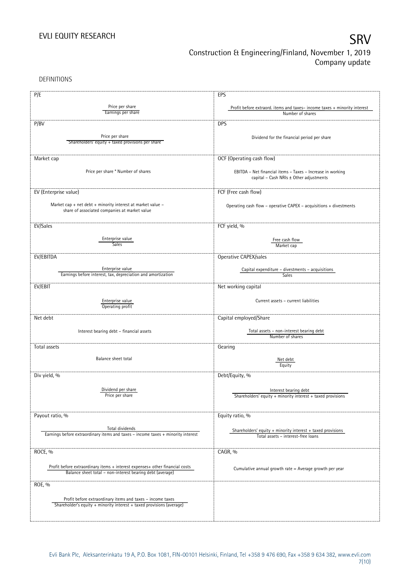DEFINITIONS

| P/E                                                                                                                                 | EPS                                                                                                   |
|-------------------------------------------------------------------------------------------------------------------------------------|-------------------------------------------------------------------------------------------------------|
| Price per share                                                                                                                     |                                                                                                       |
| Earnings per share                                                                                                                  | Profit before extraord. items and taxes-income taxes + minority interest<br>Number of shares          |
|                                                                                                                                     |                                                                                                       |
| P/BV                                                                                                                                | <b>DPS</b>                                                                                            |
|                                                                                                                                     |                                                                                                       |
| Price per share                                                                                                                     | Dividend for the financial period per share                                                           |
| Shareholders' equity + taxed provisions per share                                                                                   |                                                                                                       |
|                                                                                                                                     |                                                                                                       |
| Market cap                                                                                                                          | OCF (Operating cash flow)                                                                             |
|                                                                                                                                     |                                                                                                       |
| Price per share * Number of shares                                                                                                  | EBITDA - Net financial items - Taxes - Increase in working                                            |
|                                                                                                                                     | capital - Cash NRIs ± Other adjustments                                                               |
|                                                                                                                                     |                                                                                                       |
| EV (Enterprise value)                                                                                                               | FCF (Free cash flow)                                                                                  |
|                                                                                                                                     |                                                                                                       |
| Market cap + net debt + minority interest at market value $-$<br>share of associated companies at market value                      | Operating cash flow - operative CAPEX - acquisitions + divestments                                    |
|                                                                                                                                     |                                                                                                       |
|                                                                                                                                     |                                                                                                       |
| EV/Sales                                                                                                                            | FCF yield, %                                                                                          |
|                                                                                                                                     |                                                                                                       |
| Enterprise value<br>Sales                                                                                                           | Free cash flow                                                                                        |
|                                                                                                                                     | Market cap                                                                                            |
| EV/EBITDA                                                                                                                           | Operative CAPEX/sales                                                                                 |
|                                                                                                                                     |                                                                                                       |
| Enterprise value                                                                                                                    | Capital expenditure - divestments - acquisitions                                                      |
| Earnings before interest, tax, depreciation and amortization                                                                        | Sales                                                                                                 |
|                                                                                                                                     |                                                                                                       |
| EV/EBIT                                                                                                                             | Net working capital                                                                                   |
|                                                                                                                                     |                                                                                                       |
| Enterprise value<br>Operating profit                                                                                                | Current assets - current liabilities                                                                  |
|                                                                                                                                     |                                                                                                       |
| Net debt                                                                                                                            | Capital employed/Share                                                                                |
|                                                                                                                                     |                                                                                                       |
| Interest bearing debt - financial assets                                                                                            | Total assets - non-interest bearing debt                                                              |
|                                                                                                                                     | Number of shares                                                                                      |
| Total assets                                                                                                                        | Gearing                                                                                               |
|                                                                                                                                     |                                                                                                       |
| Balance sheet total                                                                                                                 | Net debt                                                                                              |
|                                                                                                                                     | Equity                                                                                                |
|                                                                                                                                     |                                                                                                       |
| Div yield, %                                                                                                                        | Debt/Equity, %                                                                                        |
|                                                                                                                                     |                                                                                                       |
| Dividend per share<br>Price per share                                                                                               | Interest bearing debt                                                                                 |
|                                                                                                                                     | Shareholders' equity + minority interest + taxed provisions                                           |
|                                                                                                                                     |                                                                                                       |
| Payout ratio, %                                                                                                                     | Equity ratio, %                                                                                       |
|                                                                                                                                     |                                                                                                       |
| Total dividends                                                                                                                     |                                                                                                       |
| Earnings before extraordinary items and taxes - income taxes + minority interest                                                    | Shareholders' equity $+$ minority interest $+$ taxed provisions<br>Total assets - interest-free loans |
|                                                                                                                                     |                                                                                                       |
|                                                                                                                                     |                                                                                                       |
| ROCE, %                                                                                                                             | CAGR, %                                                                                               |
|                                                                                                                                     |                                                                                                       |
| Profit before extraordinary items + interest expenses+ other financial costs                                                        | Cumulative annual growth rate = Average growth per year                                               |
| Balance sheet total - non-interest bearing debt (average)                                                                           |                                                                                                       |
| ROE, %                                                                                                                              |                                                                                                       |
|                                                                                                                                     |                                                                                                       |
|                                                                                                                                     |                                                                                                       |
| Profit before extraordinary items and taxes - income taxes<br>Shareholder's equity + minority interest + taxed provisions (average) |                                                                                                       |
|                                                                                                                                     |                                                                                                       |
|                                                                                                                                     |                                                                                                       |
|                                                                                                                                     |                                                                                                       |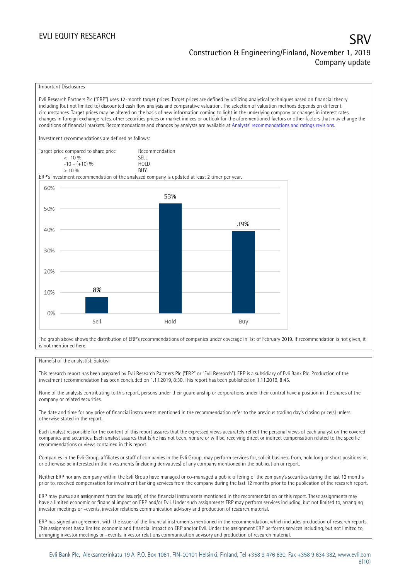### EVLI EQUITY RESEARCH SRV Construction & Engineering/Finland, November 1, 2019 Company update

### Important Disclosures

Evli Research Partners Plc ("ERP") uses 12-month target prices. Target prices are defined by utilizing analytical techniques based on financial theory including (but not limited to) discounted cash flow analysis and comparative valuation. The selection of valuation methods depends on different circumstances. Target prices may be altered on the basis of new information coming to light in the underlying company or changes in interest rates, changes in foreign exchange rates, other securities prices or market indices or outlook for the aforementioned factors or other factors that may change the conditions of financial markets. Recommendations and changes by analysts are available at Analysts' recommendati[ons and ratings revisions.](https://research.evli.com/JasperAllModels.action?authParam=key;461&authParam=x;G3rNagWrtf7K&authType=3) Investment recommendations are defined as follows: Target price compared to share price Recommendation < -10 % SELL  $-10 - (+10) \%$  HOL<br>  $> 10 \%$  BUY  $> 10\%$ ERP's investment recommendation of the analyzed company is updated at least 2 timer per year. 60% 53% 50%



The graph above shows the distribution of ERP's recommendations of companies under coverage in 1st of February 2019. If recommendation is not given, it is not mentioned here.

### Name(s) of the analyst(s): Salokivi

This research report has been prepared by Evli Research Partners Plc ("ERP" or "Evli Research"). ERP is a subsidiary of Evli Bank Plc. Production of the investment recommendation has been concluded on 1.11.2019, 8:30. This report has been published on 1.11.2019, 8:45.

None of the analysts contributing to this report, persons under their guardianship or corporations under their control have a position in the shares of the company or related securities.

The date and time for any price of financial instruments mentioned in the recommendation refer to the previous trading day's closing price(s) unless otherwise stated in the report.

Each analyst responsible for the content of this report assures that the expressed views accurately reflect the personal views of each analyst on the covered companies and securities. Each analyst assures that (s)he has not been, nor are or will be, receiving direct or indirect compensation related to the specific recommendations or views contained in this report.

Companies in the Evli Group, affiliates or staff of companies in the Evli Group, may perform services for, solicit business from, hold long or short positions in, or otherwise be interested in the investments (including derivatives) of any company mentioned in the publication or report.

Neither ERP nor any company within the Evli Group have managed or co-managed a public offering of the company's securities during the last 12 months prior to, received compensation for investment banking services from the company during the last 12 months prior to the publication of the research report.

ERP may pursue an assignment from the issuer(s) of the financial instruments mentioned in the recommendation or this report. These assignments may have a limited economic or financial impact on ERP and/or Evli. Under such assignments ERP may perform services including, but not limited to, arranging investor meetings or –events, investor relations communication advisory and production of research material.

ERP has signed an agreement with the issuer of the financial instruments mentioned in the recommendation, which includes production of research reports. This assignment has a limited economic and financial impact on ERP and/or Evli. Under the assignment ERP performs services including, but not limited to, arranging investor meetings or –events, investor relations communication advisory and production of research material.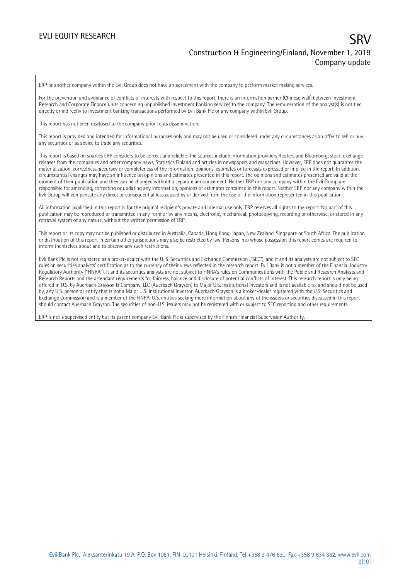ERP or another company within the Evli Group does not have an agreement with the company to perform market making services.

For the prevention and avoidance of conflicts of interests with respect to this report, there is an information barrier (Chinese wall) between Investment Research and Corporate Finance units concerning unpublished investment banking services to the company. The remuneration of the analyst(s) is not tied directly or indirectly to investment banking transactions performed by Evli Bank Plc or any company within Evli Group.

This report has not been disclosed to the company prior to its dissemination.

This report is provided and intended for informational purposes only and may not be used or considered under any circumstances as an offer to sell or buy any securities or as advice to trade any securities.

This report is based on sources ERP considers to be correct and reliable. The sources include information providers Reuters and Bloomberg, stock-exchange releases from the companies and other company news, Statistics Finland and articles in newspapers and magazines. However, ERP does not guarantee the materialization, correctness, accuracy or completeness of the information, opinions, estimates or forecasts expressed or implied in the report. In addition, circumstantial changes may have an influence on opinions and estimates presented in this report. The opinions and estimates presented are valid at the moment of their publication and they can be changed without a separate announcement. Neither ERP nor any company within the Evli Group are responsible for amending, correcting or updating any information, opinions or estimates contained in this report. Neither ERP nor any company within the Evli Group will compensate any direct or consequential loss caused by or derived from the use of the information represented in this publication.

All information published in this report is for the original recipient's private and internal use only. ERP reserves all rights to the report. No part of this publication may be reproduced or transmitted in any form or by any means, electronic, mechanical, photocopying, recording or otherwise, or stored in any retrieval system of any nature, without the written permission of ERP.

This report or its copy may not be published or distributed in Australia, Canada, Hong Kong, Japan, New Zealand, Singapore or South Africa. The publication or distribution of this report in certain other jurisdictions may also be restricted by law. Persons into whose possession this report comes are required to inform themselves about and to observe any such restrictions.

Evli Bank Plc is not registered as a broker-dealer with the U. S. Securities and Exchange Commission ("SEC"), and it and its analysts are not subject to SEC rules on securities analysts' certification as to the currency of their views reflected in the research report. Evli Bank is not a member of the Financial Industry Regulatory Authority ("FINRA"). It and its securities analysts are not subject to FINRA's rules on Communications with the Public and Research Analysts and Research Reports and the attendant requirements for fairness, balance and disclosure of potential conflicts of interest. This research report is only being offered in U.S. by Auerbach Grayson & Company, LLC (Auerbach Grayson) to Major U.S. Institutional Investors and is not available to, and should not be used by, any U.S. person or entity that is not a Major U.S. Institutional Investor. Auerbach Grayson is a broker-dealer registered with the U.S. Securities and Exchange Commission and is a member of the FINRA. U.S. entities seeking more information about any of the issuers or securities discussed in this report should contact Auerbach Grayson. The securities of non-U.S. issuers may not be registered with or subject to SEC reporting and other requirements.

ERP is not a supervised entity but its parent company Evli Bank Plc is supervised by the Finnish Financial Supervision Authority.